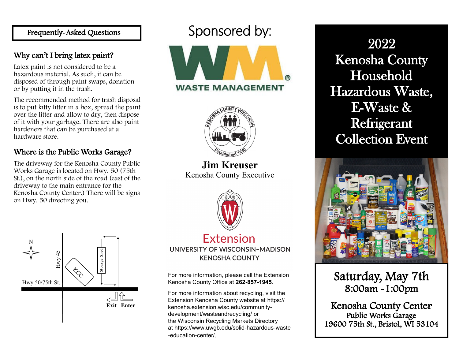Frequently-Asked Questions Sponsored by:

### Why can't I bring latex paint?

Latex paint is not considered to be a hazardous material. As such, it can be disposed of through paint swaps, donation or by putting it in the trash.

The recommended method for trash disposal is to put kitty litter in a box, spread the paint over the litter and allow to dry, then dispose of it with your garbage. There are also paint hardeners that can be purchased at a hardware store.

## Where is the Public Works Garage?

The driveway for the Kenosha County Public Works Garage is located on Hwy. 50 (75th St.), on the north side of the road (east of the driveway to the main entrance for the Kenosha County Center.) There will be signs on Hwy. 50 directing you.





**Jim Kreuser** Kenosha County Executive





UNIVERSITY OF WISCONSIN-MADISON **KENOSHA COUNTY** 

For more information, please call the Extension Kenosha County Office at **262-857-1945**.

For more information about recycling, visit the Extension Kenosha County website at [https://](https://gcc01.safelinks.protection.outlook.com/?url=https%3A%2F%2Fkenosha.extension.wisc.edu%2Fcommunity-development%2Fwasteandrecycling%2F&data=02%7C01%7CKaren.Steigerwald%40kenoshacounty.org%7Cccb7fd7868464e8e6abb08d7b6d7d4e8%7C398ef54a8fda4dbc9488d353f54c7) [kenosha.extension.wisc.edu/community](https://gcc01.safelinks.protection.outlook.com/?url=https%3A%2F%2Fkenosha.extension.wisc.edu%2Fcommunity-development%2Fwasteandrecycling%2F&data=02%7C01%7CKaren.Steigerwald%40kenoshacounty.org%7Cccb7fd7868464e8e6abb08d7b6d7d4e8%7C398ef54a8fda4dbc9488d353f54c7)[development/wasteandrecycling/](https://gcc01.safelinks.protection.outlook.com/?url=https%3A%2F%2Fkenosha.extension.wisc.edu%2Fcommunity-development%2Fwasteandrecycling%2F&data=02%7C01%7CKaren.Steigerwald%40kenoshacounty.org%7Cccb7fd7868464e8e6abb08d7b6d7d4e8%7C398ef54a8fda4dbc9488d353f54c7) or the Wisconsin Recycling Markets Directory at [https://www.uwgb.edu/solid](https://gcc01.safelinks.protection.outlook.com/?url=https%3A%2F%2Fwww.uwgb.edu%2Fsolid-hazardous-waste-education-center%2F&data=02%7C01%7CKaren.Steigerwald%40kenoshacounty.org%7Cccb7fd7868464e8e6abb08d7b6d7d4e8%7C398ef54a8fda4dbc9488d353f54c7af3%7C1%7C0%7C637)-hazardous-waste -[education](https://gcc01.safelinks.protection.outlook.com/?url=https%3A%2F%2Fwww.uwgb.edu%2Fsolid-hazardous-waste-education-center%2F&data=02%7C01%7CKaren.Steigerwald%40kenoshacounty.org%7Cccb7fd7868464e8e6abb08d7b6d7d4e8%7C398ef54a8fda4dbc9488d353f54c7af3%7C1%7C0%7C637)-center/.

2022 Kenosha County Household Hazardous Waste, E-Waste & Refrigerant Collection Event



Saturday, May 7th 8:00am -1:00pm

Kenosha County Center Public Works Garage 19600 75th St., Bristol, WI 53104